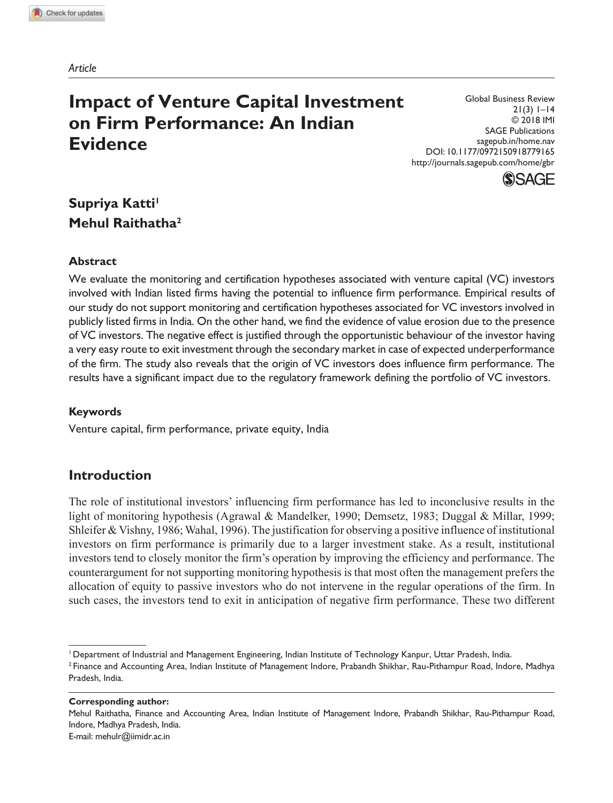*Article*

# **Impact of Venture Capital Investment on Firm Performance: An Indian Evidence**

Global Business Review  $21(3)$   $1-14$ © 2018 IMI SAGE Publications sagepub.in/home.nav DOI: 10.1177/0972150918779165 http://journals.sagepub.com/home/gbr



## **Supriya Katti<sup>1</sup> Mehul Raithatha<sup>2</sup>**

## **Abstract**

We evaluate the monitoring and certification hypotheses associated with venture capital (VC) investors involved with Indian listed firms having the potential to influence firm performance. Empirical results of our study do not support monitoring and certification hypotheses associated for VC investors involved in publicly listed firms in India. On the other hand, we find the evidence of value erosion due to the presence of VC investors. The negative effect is justified through the opportunistic behaviour of the investor having a very easy route to exit investment through the secondary market in case of expected underperformance of the firm. The study also reveals that the origin of VC investors does influence firm performance. The results have a significant impact due to the regulatory framework defining the portfolio of VC investors.

## **Keywords**

Venture capital, firm performance, private equity, India

## **Introduction**

The role of institutional investors' influencing firm performance has led to inconclusive results in the light of monitoring hypothesis (Agrawal & Mandelker, 1990; Demsetz, 1983; Duggal & Millar, 1999; Shleifer & Vishny, 1986; Wahal, 1996). The justification for observing a positive influence of institutional investors on firm performance is primarily due to a larger investment stake. As a result, institutional investors tend to closely monitor the firm's operation by improving the efficiency and performance. The counterargument for not supporting monitoring hypothesis is that most often the management prefers the allocation of equity to passive investors who do not intervene in the regular operations of the firm. In such cases, the investors tend to exit in anticipation of negative firm performance. These two different

**Corresponding author:**

<sup>1</sup>Department of Industrial and Management Engineering, Indian Institute of Technology Kanpur, Uttar Pradesh, India. <sup>2</sup> Finance and Accounting Area, Indian Institute of Management Indore, Prabandh Shikhar, Rau-Pithampur Road, Indore, Madhya Pradesh, India.

Mehul Raithatha, Finance and Accounting Area, Indian Institute of Management Indore, Prabandh Shikhar, Rau-Pithampur Road, Indore, Madhya Pradesh, India. E-mail: mehulr@iimidr.ac.in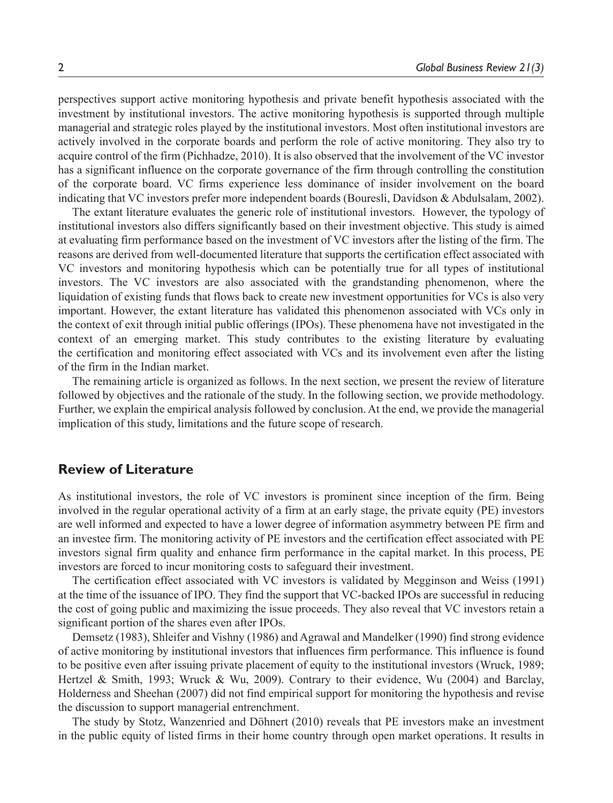perspectives support active monitoring hypothesis and private benefit hypothesis associated with the investment by institutional investors. The active monitoring hypothesis is supported through multiple managerial and strategic roles played by the institutional investors. Most often institutional investors are actively involved in the corporate boards and perform the role of active monitoring. They also try to acquire control of the firm (Pichhadze, 2010). It is also observed that the involvement of the VC investor has a significant influence on the corporate governance of the firm through controlling the constitution of the corporate board. VC firms experience less dominance of insider involvement on the board indicating that VC investors prefer more independent boards (Bouresli, Davidson & Abdulsalam, 2002).

The extant literature evaluates the generic role of institutional investors. However, the typology of institutional investors also differs significantly based on their investment objective. This study is aimed at evaluating firm performance based on the investment of VC investors after the listing of the firm. The reasons are derived from well-documented literature that supports the certification effect associated with VC investors and monitoring hypothesis which can be potentially true for all types of institutional investors. The VC investors are also associated with the grandstanding phenomenon, where the liquidation of existing funds that flows back to create new investment opportunities for VCs is also very important. However, the extant literature has validated this phenomenon associated with VCs only in the context of exit through initial public offerings (IPOs). These phenomena have not investigated in the context of an emerging market. This study contributes to the existing literature by evaluating the certification and monitoring effect associated with VCs and its involvement even after the listing of the firm in the Indian market.

The remaining article is organized as follows. In the next section, we present the review of literature followed by objectives and the rationale of the study. In the following section, we provide methodology. Further, we explain the empirical analysis followed by conclusion. At the end, we provide the managerial implication of this study, limitations and the future scope of research.

#### **Review of Literature**

As institutional investors, the role of VC investors is prominent since inception of the firm. Being involved in the regular operational activity of a firm at an early stage, the private equity (PE) investors are well informed and expected to have a lower degree of information asymmetry between PE firm and an investee firm. The monitoring activity of PE investors and the certification effect associated with PE investors signal firm quality and enhance firm performance in the capital market. In this process, PE investors are forced to incur monitoring costs to safeguard their investment.

The certification effect associated with VC investors is validated by Megginson and Weiss (1991) at the time of the issuance of IPO. They find the support that VC-backed IPOs are successful in reducing the cost of going public and maximizing the issue proceeds. They also reveal that VC investors retain a significant portion of the shares even after IPOs.

Demsetz (1983), Shleifer and Vishny (1986) and Agrawal and Mandelker (1990) find strong evidence of active monitoring by institutional investors that influences firm performance. This influence is found to be positive even after issuing private placement of equity to the institutional investors (Wruck, 1989; Hertzel & Smith, 1993; Wruck & Wu, 2009). Contrary to their evidence, Wu (2004) and Barclay, Holderness and Sheehan (2007) did not find empirical support for monitoring the hypothesis and revise the discussion to support managerial entrenchment.

The study by Stotz, Wanzenried and Döhnert (2010) reveals that PE investors make an investment in the public equity of listed firms in their home country through open market operations. It results in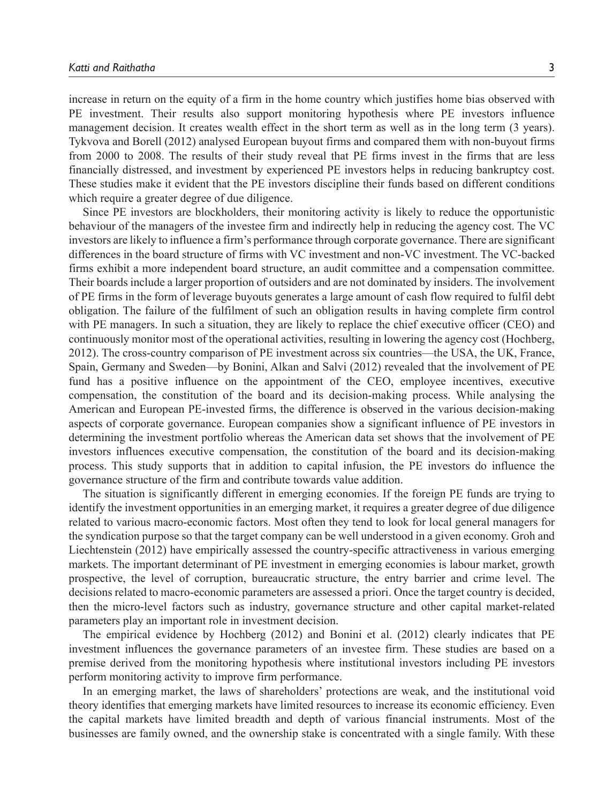increase in return on the equity of a firm in the home country which justifies home bias observed with PE investment. Their results also support monitoring hypothesis where PE investors influence management decision. It creates wealth effect in the short term as well as in the long term (3 years). Tykvova and Borell (2012) analysed European buyout firms and compared them with non-buyout firms from 2000 to 2008. The results of their study reveal that PE firms invest in the firms that are less financially distressed, and investment by experienced PE investors helps in reducing bankruptcy cost. These studies make it evident that the PE investors discipline their funds based on different conditions which require a greater degree of due diligence.

Since PE investors are blockholders, their monitoring activity is likely to reduce the opportunistic behaviour of the managers of the investee firm and indirectly help in reducing the agency cost. The VC investors are likely to influence a firm's performance through corporate governance. There are significant differences in the board structure of firms with VC investment and non-VC investment. The VC-backed firms exhibit a more independent board structure, an audit committee and a compensation committee. Their boards include a larger proportion of outsiders and are not dominated by insiders. The involvement of PE firms in the form of leverage buyouts generates a large amount of cash flow required to fulfil debt obligation. The failure of the fulfilment of such an obligation results in having complete firm control with PE managers. In such a situation, they are likely to replace the chief executive officer (CEO) and continuously monitor most of the operational activities, resulting in lowering the agency cost (Hochberg, 2012). The cross-country comparison of PE investment across six countries—the USA, the UK, France, Spain, Germany and Sweden—by Bonini, Alkan and Salvi (2012) revealed that the involvement of PE fund has a positive influence on the appointment of the CEO, employee incentives, executive compensation, the constitution of the board and its decision-making process. While analysing the American and European PE-invested firms, the difference is observed in the various decision-making aspects of corporate governance. European companies show a significant influence of PE investors in determining the investment portfolio whereas the American data set shows that the involvement of PE investors influences executive compensation, the constitution of the board and its decision-making process. This study supports that in addition to capital infusion, the PE investors do influence the governance structure of the firm and contribute towards value addition.

The situation is significantly different in emerging economies. If the foreign PE funds are trying to identify the investment opportunities in an emerging market, it requires a greater degree of due diligence related to various macro-economic factors. Most often they tend to look for local general managers for the syndication purpose so that the target company can be well understood in a given economy. Groh and Liechtenstein (2012) have empirically assessed the country-specific attractiveness in various emerging markets. The important determinant of PE investment in emerging economies is labour market, growth prospective, the level of corruption, bureaucratic structure, the entry barrier and crime level. The decisions related to macro-economic parameters are assessed a priori. Once the target country is decided, then the micro-level factors such as industry, governance structure and other capital market-related parameters play an important role in investment decision.

The empirical evidence by Hochberg (2012) and Bonini et al. (2012) clearly indicates that PE investment influences the governance parameters of an investee firm. These studies are based on a premise derived from the monitoring hypothesis where institutional investors including PE investors perform monitoring activity to improve firm performance.

In an emerging market, the laws of shareholders' protections are weak, and the institutional void theory identifies that emerging markets have limited resources to increase its economic efficiency. Even the capital markets have limited breadth and depth of various financial instruments. Most of the businesses are family owned, and the ownership stake is concentrated with a single family. With these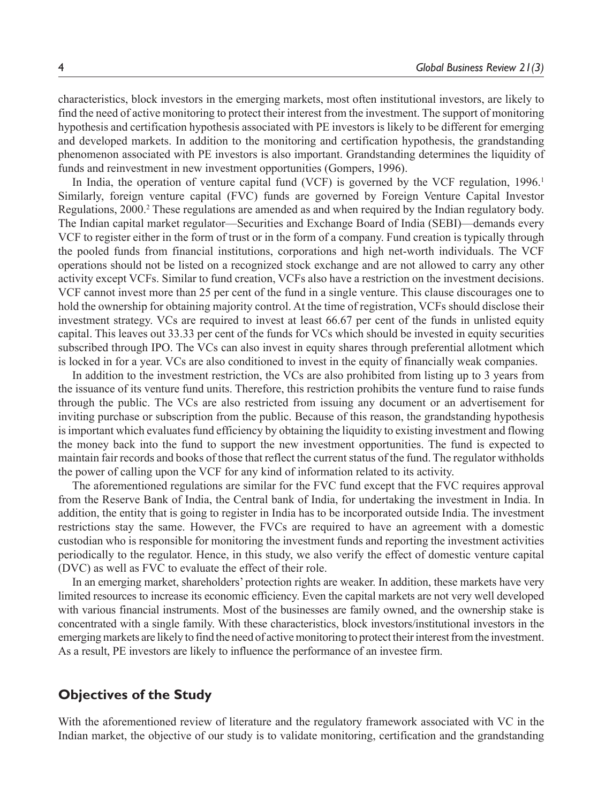characteristics, block investors in the emerging markets, most often institutional investors, are likely to find the need of active monitoring to protect their interest from the investment. The support of monitoring hypothesis and certification hypothesis associated with PE investors is likely to be different for emerging and developed markets. In addition to the monitoring and certification hypothesis, the grandstanding phenomenon associated with PE investors is also important. Grandstanding determines the liquidity of funds and reinvestment in new investment opportunities (Gompers, 1996).

In India, the operation of venture capital fund (VCF) is governed by the VCF regulation, 1996.<sup>1</sup> Similarly, foreign venture capital (FVC) funds are governed by Foreign Venture Capital Investor Regulations, 2000.<sup>2</sup> These regulations are amended as and when required by the Indian regulatory body. The Indian capital market regulator—Securities and Exchange Board of India (SEBI)—demands every VCF to register either in the form of trust or in the form of a company. Fund creation is typically through the pooled funds from financial institutions, corporations and high net-worth individuals. The VCF operations should not be listed on a recognized stock exchange and are not allowed to carry any other activity except VCFs. Similar to fund creation, VCFs also have a restriction on the investment decisions. VCF cannot invest more than 25 per cent of the fund in a single venture. This clause discourages one to hold the ownership for obtaining majority control. At the time of registration, VCFs should disclose their investment strategy. VCs are required to invest at least 66.67 per cent of the funds in unlisted equity capital. This leaves out 33.33 per cent of the funds for VCs which should be invested in equity securities subscribed through IPO. The VCs can also invest in equity shares through preferential allotment which is locked in for a year. VCs are also conditioned to invest in the equity of financially weak companies.

In addition to the investment restriction, the VCs are also prohibited from listing up to 3 years from the issuance of its venture fund units. Therefore, this restriction prohibits the venture fund to raise funds through the public. The VCs are also restricted from issuing any document or an advertisement for inviting purchase or subscription from the public. Because of this reason, the grandstanding hypothesis is important which evaluates fund efficiency by obtaining the liquidity to existing investment and flowing the money back into the fund to support the new investment opportunities. The fund is expected to maintain fair records and books of those that reflect the current status of the fund. The regulator withholds the power of calling upon the VCF for any kind of information related to its activity.

The aforementioned regulations are similar for the FVC fund except that the FVC requires approval from the Reserve Bank of India, the Central bank of India, for undertaking the investment in India. In addition, the entity that is going to register in India has to be incorporated outside India. The investment restrictions stay the same. However, the FVCs are required to have an agreement with a domestic custodian who is responsible for monitoring the investment funds and reporting the investment activities periodically to the regulator. Hence, in this study, we also verify the effect of domestic venture capital (DVC) as well as FVC to evaluate the effect of their role.

In an emerging market, shareholders' protection rights are weaker. In addition, these markets have very limited resources to increase its economic efficiency. Even the capital markets are not very well developed with various financial instruments. Most of the businesses are family owned, and the ownership stake is concentrated with a single family. With these characteristics, block investors/institutional investors in the emerging markets are likely to find the need of active monitoring to protect their interest from the investment. As a result, PE investors are likely to influence the performance of an investee firm.

## **Objectives of the Study**

With the aforementioned review of literature and the regulatory framework associated with VC in the Indian market, the objective of our study is to validate monitoring, certification and the grandstanding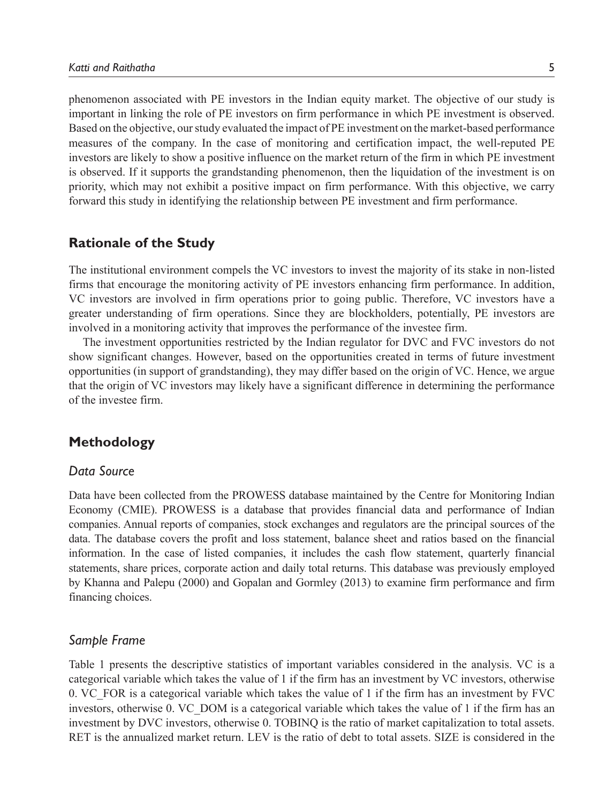phenomenon associated with PE investors in the Indian equity market. The objective of our study is important in linking the role of PE investors on firm performance in which PE investment is observed. Based on the objective, our study evaluated the impact of PE investment on the market-based performance measures of the company. In the case of monitoring and certification impact, the well-reputed PE investors are likely to show a positive influence on the market return of the firm in which PE investment is observed. If it supports the grandstanding phenomenon, then the liquidation of the investment is on priority, which may not exhibit a positive impact on firm performance. With this objective, we carry forward this study in identifying the relationship between PE investment and firm performance.

## **Rationale of the Study**

The institutional environment compels the VC investors to invest the majority of its stake in non-listed firms that encourage the monitoring activity of PE investors enhancing firm performance. In addition, VC investors are involved in firm operations prior to going public. Therefore, VC investors have a greater understanding of firm operations. Since they are blockholders, potentially, PE investors are involved in a monitoring activity that improves the performance of the investee firm.

The investment opportunities restricted by the Indian regulator for DVC and FVC investors do not show significant changes. However, based on the opportunities created in terms of future investment opportunities (in support of grandstanding), they may differ based on the origin of VC. Hence, we argue that the origin of VC investors may likely have a significant difference in determining the performance of the investee firm.

## **Methodology**

## *Data Source*

Data have been collected from the PROWESS database maintained by the Centre for Monitoring Indian Economy (CMIE). PROWESS is a database that provides financial data and performance of Indian companies. Annual reports of companies, stock exchanges and regulators are the principal sources of the data. The database covers the profit and loss statement, balance sheet and ratios based on the financial information. In the case of listed companies, it includes the cash flow statement, quarterly financial statements, share prices, corporate action and daily total returns. This database was previously employed by Khanna and Palepu (2000) and Gopalan and Gormley (2013) to examine firm performance and firm financing choices.

#### *Sample Frame*

Table 1 presents the descriptive statistics of important variables considered in the analysis. VC is a categorical variable which takes the value of 1 if the firm has an investment by VC investors, otherwise 0. VC\_FOR is a categorical variable which takes the value of 1 if the firm has an investment by FVC investors, otherwise 0. VC\_DOM is a categorical variable which takes the value of 1 if the firm has an investment by DVC investors, otherwise 0. TOBINQ is the ratio of market capitalization to total assets. RET is the annualized market return. LEV is the ratio of debt to total assets. SIZE is considered in the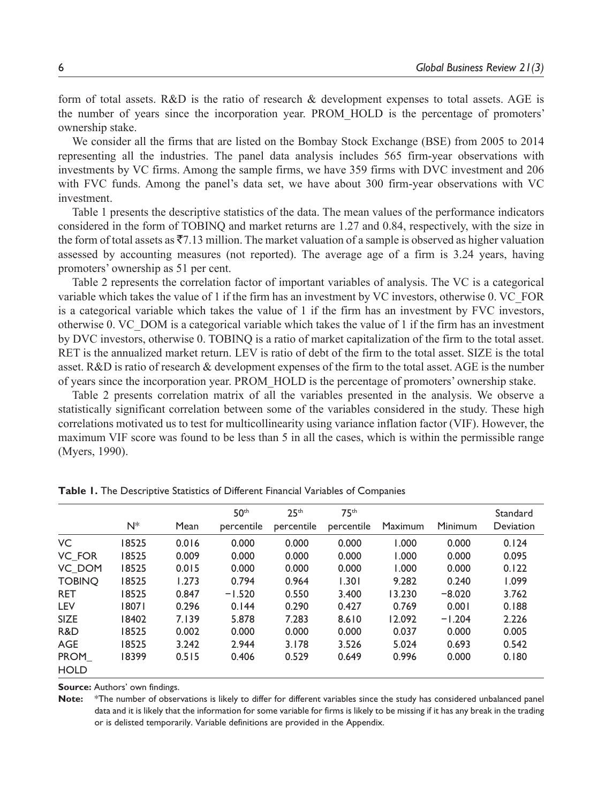form of total assets. R&D is the ratio of research & development expenses to total assets. AGE is the number of years since the incorporation year. PROM\_HOLD is the percentage of promoters' ownership stake.

We consider all the firms that are listed on the Bombay Stock Exchange (BSE) from 2005 to 2014 representing all the industries. The panel data analysis includes 565 firm-year observations with investments by VC firms. Among the sample firms, we have 359 firms with DVC investment and 206 with FVC funds. Among the panel's data set, we have about 300 firm-year observations with VC investment.

Table 1 presents the descriptive statistics of the data. The mean values of the performance indicators considered in the form of TOBINQ and market returns are 1.27 and 0.84, respectively, with the size in the form of total assets as  $\overline{z}$ 7.13 million. The market valuation of a sample is observed as higher valuation assessed by accounting measures (not reported). The average age of a firm is 3.24 years, having promoters' ownership as 51 per cent.

Table 2 represents the correlation factor of important variables of analysis. The VC is a categorical variable which takes the value of 1 if the firm has an investment by VC investors, otherwise 0. VC\_FOR is a categorical variable which takes the value of 1 if the firm has an investment by FVC investors, otherwise 0. VC\_DOM is a categorical variable which takes the value of 1 if the firm has an investment by DVC investors, otherwise 0. TOBINQ is a ratio of market capitalization of the firm to the total asset. RET is the annualized market return. LEV is ratio of debt of the firm to the total asset. SIZE is the total asset. R&D is ratio of research & development expenses of the firm to the total asset. AGE is the number of years since the incorporation year. PROM\_HOLD is the percentage of promoters' ownership stake.

Table 2 presents correlation matrix of all the variables presented in the analysis. We observe a statistically significant correlation between some of the variables considered in the study. These high correlations motivated us to test for multicollinearity using variance inflation factor (VIF). However, the maximum VIF score was found to be less than 5 in all the cases, which is within the permissible range (Myers, 1990).

|               | $N^*$ | Mean  | 50 <sup>th</sup><br>percentile | 25 <sup>th</sup><br>percentile | 75 <sup>th</sup><br>percentile | <b>Maximum</b> | Minimum  | Standard<br>Deviation |
|---------------|-------|-------|--------------------------------|--------------------------------|--------------------------------|----------------|----------|-----------------------|
| <b>VC</b>     | 18525 | 0.016 | 0.000                          | 0.000                          | 0.000                          | 0.0001         | 0.000    | 0.124                 |
| <b>VC FOR</b> | 18525 | 0.009 | 0.000                          | 0.000                          | 0.000                          | 1.000          | 0.000    | 0.095                 |
| VC DOM        | 18525 | 0.015 | 0.000                          | 0.000                          | 0.000                          | 1.000          | 0.000    | 0.122                 |
| <b>TOBINO</b> | 18525 | 1.273 | 0.794                          | 0.964                          | 1.301                          | 9.282          | 0.240    | 1.099                 |
| <b>RET</b>    | 18525 | 0.847 | $-1.520$                       | 0.550                          | 3.400                          | 13.230         | $-8.020$ | 3.762                 |
| LEV           | 18071 | 0.296 | 0.144                          | 0.290                          | 0.427                          | 0.769          | 0.001    | 0.188                 |
| <b>SIZE</b>   | 18402 | 7.139 | 5.878                          | 7.283                          | 8.610                          | 12.092         | $-1.204$ | 2.226                 |
| R&D           | 18525 | 0.002 | 0.000                          | 0.000                          | 0.000                          | 0.037          | 0.000    | 0.005                 |
| <b>AGE</b>    | 18525 | 3.242 | 2.944                          | 3.178                          | 3.526                          | 5.024          | 0.693    | 0.542                 |
| <b>PROM</b>   | 18399 | 0.515 | 0.406                          | 0.529                          | 0.649                          | 0.996          | 0.000    | 0.180                 |
| <b>HOLD</b>   |       |       |                                |                                |                                |                |          |                       |

**Table 1.** The Descriptive Statistics of Different Financial Variables of Companies

**Source:** Authors' own findings.

**Note:** \*The number of observations is likely to differ for different variables since the study has considered unbalanced panel data and it is likely that the information for some variable for firms is likely to be missing if it has any break in the trading or is delisted temporarily. Variable definitions are provided in the Appendix.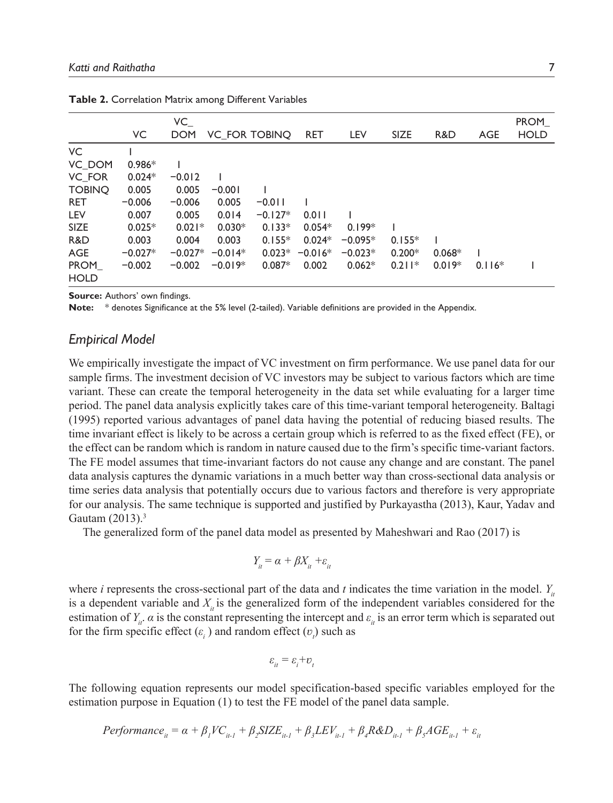|               |           | VC        |           |                      |                  |           |             |          |          | <b>PROM</b> |
|---------------|-----------|-----------|-----------|----------------------|------------------|-----------|-------------|----------|----------|-------------|
|               | VC.       | DOM       |           | <b>VC FOR TOBINO</b> | <b>RET</b>       | LEV       | <b>SIZE</b> | R&D      | AGE      | <b>HOLD</b> |
| <b>VC</b>     |           |           |           |                      |                  |           |             |          |          |             |
| VC DOM        | $0.986*$  |           |           |                      |                  |           |             |          |          |             |
| VC FOR        | $0.024*$  | $-0.012$  |           |                      |                  |           |             |          |          |             |
| <b>TOBINO</b> | 0.005     | 0.005     | $-0.001$  |                      |                  |           |             |          |          |             |
| <b>RET</b>    | $-0.006$  | $-0.006$  | 0.005     | $-0.011$             |                  |           |             |          |          |             |
| LEV           | 0.007     | 0.005     | 0.014     | $-0.127*$            | 0.011            |           |             |          |          |             |
| <b>SIZE</b>   | $0.025*$  | $0.021*$  | $0.030*$  | $0.133*$             | $0.054*$         | $0.199*$  |             |          |          |             |
| R&D           | 0.003     | 0.004     | 0.003     | $0.155*$             | $0.024*$         | $-0.095*$ | $0.155*$    |          |          |             |
| AGE           | $-0.027*$ | $-0.027*$ | $-0.014*$ |                      | $0.023* -0.016*$ | $-0.023*$ | $0.200*$    | $0.068*$ |          |             |
| <b>PROM</b>   | $-0.002$  | $-0.002$  | $-0.019*$ | $0.087*$             | 0.002            | $0.062*$  | $0.211*$    | $0.019*$ | $0.116*$ |             |
| <b>HOLD</b>   |           |           |           |                      |                  |           |             |          |          |             |

**Table 2.** Correlation Matrix among Different Variables

**Source:** Authors' own findings.

**Note:** \* denotes Significance at the 5% level (2-tailed). Variable definitions are provided in the Appendix.

#### *Empirical Model*

We empirically investigate the impact of VC investment on firm performance. We use panel data for our sample firms. The investment decision of VC investors may be subject to various factors which are time variant. These can create the temporal heterogeneity in the data set while evaluating for a larger time period. The panel data analysis explicitly takes care of this time-variant temporal heterogeneity. Baltagi (1995) reported various advantages of panel data having the potential of reducing biased results. The time invariant effect is likely to be across a certain group which is referred to as the fixed effect (FE), or the effect can be random which is random in nature caused due to the firm's specific time-variant factors. The FE model assumes that time-invariant factors do not cause any change and are constant. The panel data analysis captures the dynamic variations in a much better way than cross-sectional data analysis or time series data analysis that potentially occurs due to various factors and therefore is very appropriate for our analysis. The same technique is supported and justified by Purkayastha (2013), Kaur, Yadav and Gautam  $(2013).$ <sup>3</sup>

The generalized form of the panel data model as presented by Maheshwari and Rao (2017) is

$$
Y_{it} = \alpha + \beta X_{it} + \varepsilon_{it}
$$

where *i* represents the cross-sectional part of the data and *t* indicates the time variation in the model.  $Y_i$ is a dependent variable and  $X<sub>i</sub>$  is the generalized form of the independent variables considered for the estimation of  $Y_i$  *a* is the constant representing the intercept and  $\varepsilon$ <sub>*it*</sub> is an error term which is separated out for the firm specific effect  $(\varepsilon_i)$  and random effect  $(v_i)$  such as

$$
\varepsilon_{it} = \varepsilon_i + v_t
$$

The following equation represents our model specification-based specific variables employed for the estimation purpose in Equation (1) to test the FE model of the panel data sample.

$$
Performance_{ii} = \alpha + \beta_1 VC_{ii-1} + \beta_2 SIZE_{ii-1} + \beta_3 LEV_{ii-1} + \beta_4 R \& D_{ii-1} + \beta_5 AGE_{ii-1} + \varepsilon_{ii}
$$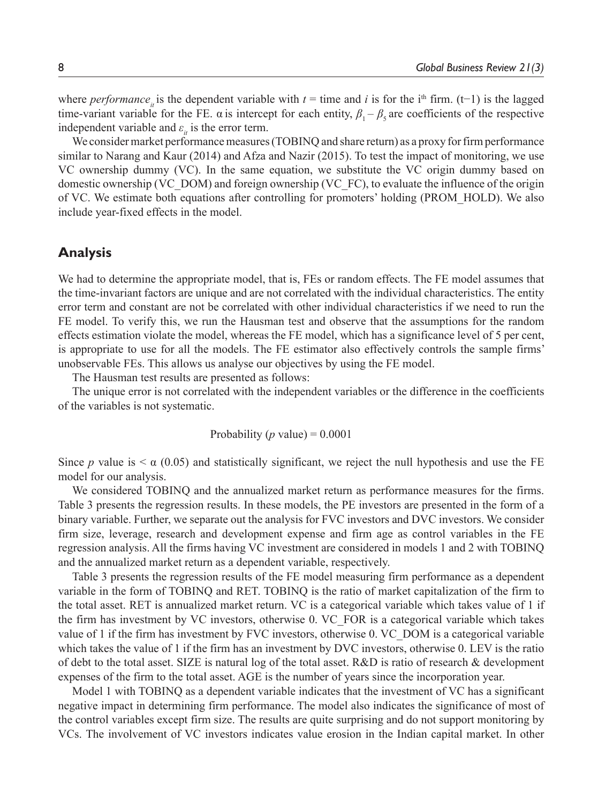where *performance*<sub>*ii*</sub> is the dependent variable with  $t =$  time and *i* is for the i<sup>th</sup> firm. (t−1) is the lagged time-variant variable for the FE.  $\alpha$  is intercept for each entity,  $\beta_1 - \beta_5$  are coefficients of the respective independent variable and  $\varepsilon$ <sub>*it*</sub> is the error term.

We consider market performance measures (TOBINQ and share return) as a proxy for firm performance similar to Narang and Kaur (2014) and Afza and Nazir (2015). To test the impact of monitoring, we use VC ownership dummy (VC). In the same equation, we substitute the VC origin dummy based on domestic ownership (VC\_DOM) and foreign ownership (VC\_FC), to evaluate the influence of the origin of VC. We estimate both equations after controlling for promoters' holding (PROM\_HOLD). We also include year-fixed effects in the model.

## **Analysis**

We had to determine the appropriate model, that is, FEs or random effects. The FE model assumes that the time-invariant factors are unique and are not correlated with the individual characteristics. The entity error term and constant are not be correlated with other individual characteristics if we need to run the FE model. To verify this, we run the Hausman test and observe that the assumptions for the random effects estimation violate the model, whereas the FE model, which has a significance level of 5 per cent, is appropriate to use for all the models. The FE estimator also effectively controls the sample firms' unobservable FEs. This allows us analyse our objectives by using the FE model.

The Hausman test results are presented as follows:

The unique error is not correlated with the independent variables or the difference in the coefficients of the variables is not systematic.

Probability ( $p$  value) =  $0.0001$ 

Since *p* value is  $\lt \alpha$  (0.05) and statistically significant, we reject the null hypothesis and use the FE model for our analysis.

We considered TOBINQ and the annualized market return as performance measures for the firms. Table 3 presents the regression results. In these models, the PE investors are presented in the form of a binary variable. Further, we separate out the analysis for FVC investors and DVC investors. We consider firm size, leverage, research and development expense and firm age as control variables in the FE regression analysis. All the firms having VC investment are considered in models 1 and 2 with TOBINQ and the annualized market return as a dependent variable, respectively.

Table 3 presents the regression results of the FE model measuring firm performance as a dependent variable in the form of TOBINQ and RET. TOBINQ is the ratio of market capitalization of the firm to the total asset. RET is annualized market return. VC is a categorical variable which takes value of 1 if the firm has investment by VC investors, otherwise 0. VC\_FOR is a categorical variable which takes value of 1 if the firm has investment by FVC investors, otherwise 0. VC\_DOM is a categorical variable which takes the value of 1 if the firm has an investment by DVC investors, otherwise 0. LEV is the ratio of debt to the total asset. SIZE is natural log of the total asset. R&D is ratio of research & development expenses of the firm to the total asset. AGE is the number of years since the incorporation year.

Model 1 with TOBINQ as a dependent variable indicates that the investment of VC has a significant negative impact in determining firm performance. The model also indicates the significance of most of the control variables except firm size. The results are quite surprising and do not support monitoring by VCs. The involvement of VC investors indicates value erosion in the Indian capital market. In other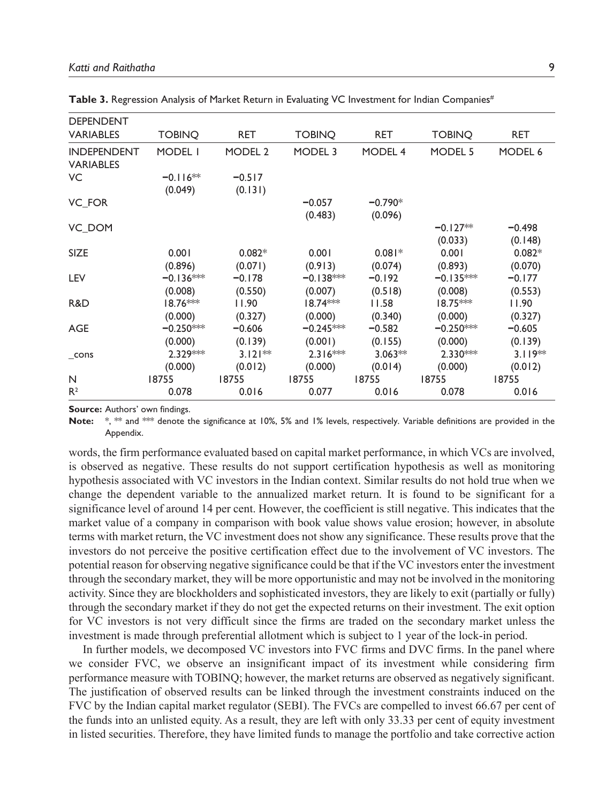| <b>DEPENDENT</b>                       |                        |                       |                        |                      |                        |                      |
|----------------------------------------|------------------------|-----------------------|------------------------|----------------------|------------------------|----------------------|
| <b>VARIABLES</b>                       | <b>TOBINQ</b>          | <b>RET</b>            | <b>TOBINQ</b>          | <b>RET</b>           | <b>TOBINQ</b>          | <b>RET</b>           |
| <b>INDEPENDENT</b><br><b>VARIABLES</b> | MODEL I                | MODEL 2               | MODEL <sub>3</sub>     | MODEL 4              | MODEL 5                | MODEL 6              |
| VC                                     | $-0.116**$<br>(0.049)  | $-0.517$<br>(0.131)   |                        |                      |                        |                      |
| VC FOR                                 |                        |                       | $-0.057$<br>(0.483)    | $-0.790*$<br>(0.096) |                        |                      |
| VC DOM                                 |                        |                       |                        |                      | $-0.127**$<br>(0.033)  | $-0.498$<br>(0.148)  |
| SIZE                                   | 0.001<br>(0.896)       | $0.082*$<br>(0.071)   | 0.001<br>(0.913)       | $0.081*$<br>(0.074)  | 0.001<br>(0.893)       | $0.082*$<br>(0.070)  |
| LEV                                    | $-0.136***$<br>(0.008) | $-0.178$<br>(0.550)   | $-0.138***$<br>(0.007) | $-0.192$<br>(0.518)  | $-0.135***$<br>(0.008) | $-0.177$<br>(0.553)  |
| R&D                                    | $18.76***$<br>(0.000)  | 11.90<br>(0.327)      | $18.74***$<br>(0.000)  | 11.58<br>(0.340)     | $18.75***$<br>(0.000)  | 11.90<br>(0.327)     |
| AGE                                    | $-0.250***$<br>(0.000) | $-0.606$<br>(0.139)   | $-0.245***$<br>(0.001) | $-0.582$<br>(0.155)  | $-0.250***$<br>(0.000) | $-0.605$<br>(0.139)  |
| $\_cons$                               | $2.329***$<br>(0.000)  | $3.121***$<br>(0.012) | $2.316***$<br>(0.000)  | $3.063**$<br>(0.014) | $2.330***$<br>(0.000)  | $3.119**$<br>(0.012) |
| N                                      | 18755                  | 18755                 | 18755                  | 18755                | 18755                  | 18755                |
| R <sup>2</sup>                         | 0.078                  | 0.016                 | 0.077                  | 0.016                | 0.078                  | 0.016                |

Table 3. Regression Analysis of Market Return in Evaluating VC Investment for Indian Companies<sup>#</sup>

**Source:** Authors' own findings.

**Note:** \*, \*\* and \*\*\* denote the significance at 10%, 5% and 1% levels, respectively. Variable definitions are provided in the Appendix.

words, the firm performance evaluated based on capital market performance, in which VCs are involved, is observed as negative. These results do not support certification hypothesis as well as monitoring hypothesis associated with VC investors in the Indian context. Similar results do not hold true when we change the dependent variable to the annualized market return. It is found to be significant for a significance level of around 14 per cent. However, the coefficient is still negative. This indicates that the market value of a company in comparison with book value shows value erosion; however, in absolute terms with market return, the VC investment does not show any significance. These results prove that the investors do not perceive the positive certification effect due to the involvement of VC investors. The potential reason for observing negative significance could be that if the VC investors enter the investment through the secondary market, they will be more opportunistic and may not be involved in the monitoring activity. Since they are blockholders and sophisticated investors, they are likely to exit (partially or fully) through the secondary market if they do not get the expected returns on their investment. The exit option for VC investors is not very difficult since the firms are traded on the secondary market unless the investment is made through preferential allotment which is subject to 1 year of the lock-in period.

In further models, we decomposed VC investors into FVC firms and DVC firms. In the panel where we consider FVC, we observe an insignificant impact of its investment while considering firm performance measure with TOBINQ; however, the market returns are observed as negatively significant. The justification of observed results can be linked through the investment constraints induced on the FVC by the Indian capital market regulator (SEBI). The FVCs are compelled to invest 66.67 per cent of the funds into an unlisted equity. As a result, they are left with only 33.33 per cent of equity investment in listed securities. Therefore, they have limited funds to manage the portfolio and take corrective action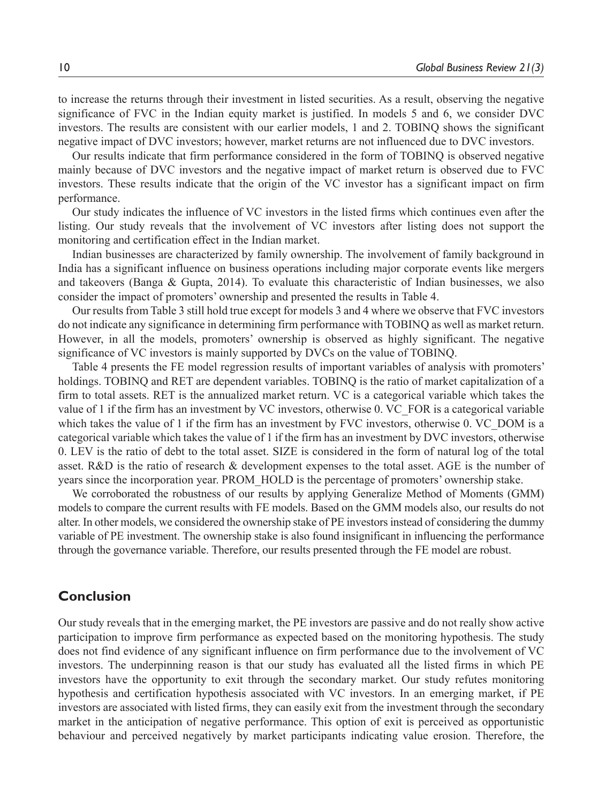to increase the returns through their investment in listed securities. As a result, observing the negative significance of FVC in the Indian equity market is justified. In models 5 and 6, we consider DVC investors. The results are consistent with our earlier models, 1 and 2. TOBINQ shows the significant negative impact of DVC investors; however, market returns are not influenced due to DVC investors.

Our results indicate that firm performance considered in the form of TOBINQ is observed negative mainly because of DVC investors and the negative impact of market return is observed due to FVC investors. These results indicate that the origin of the VC investor has a significant impact on firm performance.

Our study indicates the influence of VC investors in the listed firms which continues even after the listing. Our study reveals that the involvement of VC investors after listing does not support the monitoring and certification effect in the Indian market.

Indian businesses are characterized by family ownership. The involvement of family background in India has a significant influence on business operations including major corporate events like mergers and takeovers (Banga & Gupta, 2014). To evaluate this characteristic of Indian businesses, we also consider the impact of promoters' ownership and presented the results in Table 4.

Our results from Table 3 still hold true except for models 3 and 4 where we observe that FVC investors do not indicate any significance in determining firm performance with TOBINQ as well as market return. However, in all the models, promoters' ownership is observed as highly significant. The negative significance of VC investors is mainly supported by DVCs on the value of TOBINQ.

Table 4 presents the FE model regression results of important variables of analysis with promoters' holdings. TOBINQ and RET are dependent variables. TOBINQ is the ratio of market capitalization of a firm to total assets. RET is the annualized market return. VC is a categorical variable which takes the value of 1 if the firm has an investment by VC investors, otherwise 0. VC\_FOR is a categorical variable which takes the value of 1 if the firm has an investment by FVC investors, otherwise 0. VC\_DOM is a categorical variable which takes the value of 1 if the firm has an investment by DVC investors, otherwise 0. LEV is the ratio of debt to the total asset. SIZE is considered in the form of natural log of the total asset. R&D is the ratio of research & development expenses to the total asset. AGE is the number of years since the incorporation year. PROM\_HOLD is the percentage of promoters' ownership stake.

We corroborated the robustness of our results by applying Generalize Method of Moments (GMM) models to compare the current results with FE models. Based on the GMM models also, our results do not alter. In other models, we considered the ownership stake of PE investors instead of considering the dummy variable of PE investment. The ownership stake is also found insignificant in influencing the performance through the governance variable. Therefore, our results presented through the FE model are robust.

#### **Conclusion**

Our study reveals that in the emerging market, the PE investors are passive and do not really show active participation to improve firm performance as expected based on the monitoring hypothesis. The study does not find evidence of any significant influence on firm performance due to the involvement of VC investors. The underpinning reason is that our study has evaluated all the listed firms in which PE investors have the opportunity to exit through the secondary market. Our study refutes monitoring hypothesis and certification hypothesis associated with VC investors. In an emerging market, if PE investors are associated with listed firms, they can easily exit from the investment through the secondary market in the anticipation of negative performance. This option of exit is perceived as opportunistic behaviour and perceived negatively by market participants indicating value erosion. Therefore, the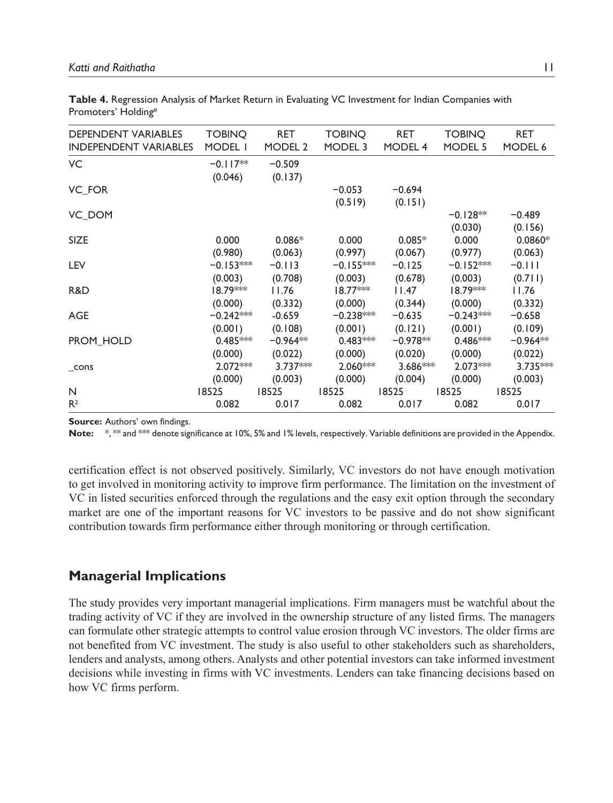| <b>DEPENDENT VARIABLES</b><br><b>INDEPENDENT VARIABLES</b> | <b>TOBINO</b><br>MODEL I | <b>RET</b><br>MODEL 2 | <b>TOBINQ</b><br>MODEL 3 | <b>RET</b><br>MODEL 4 | <b>TOBINQ</b><br>MODEL <sub>5</sub> | <b>RET</b><br>MODEL 6 |
|------------------------------------------------------------|--------------------------|-----------------------|--------------------------|-----------------------|-------------------------------------|-----------------------|
| VC                                                         | $-0.117**$               | $-0.509$              |                          |                       |                                     |                       |
|                                                            | (0.046)                  | (0.137)               |                          |                       |                                     |                       |
| <b>VC FOR</b>                                              |                          |                       | $-0.053$                 | $-0.694$              |                                     |                       |
|                                                            |                          |                       | (0.519)                  | (0.151)               |                                     |                       |
| VC DOM                                                     |                          |                       |                          |                       | $-0.128**$                          | $-0.489$              |
|                                                            |                          |                       |                          |                       | (0.030)                             | (0.156)               |
| <b>SIZE</b>                                                | 0.000                    | $0.086*$              | 0.000                    | $0.085*$              | 0.000                               | $0.0860*$             |
|                                                            | (0.980)                  | (0.063)               | (0.997)                  | (0.067)               | (0.977)                             | (0.063)               |
| <b>LEV</b>                                                 | $-0.153***$              | $-0.113$              | $-0.155***$              | $-0.125$              | $-0.152***$                         | $-0.111$              |
|                                                            | (0.003)                  | (0.708)               | (0.003)                  | (0.678)               | (0.003)                             | (0.711)               |
| R&D                                                        | 18.79 <sup>*</sup> **    | 11.76                 | $18.77***$               | 11.47                 | $18.79***$                          | 11.76                 |
|                                                            | (0.000)                  | (0.332)               | (0.000)                  | (0.344)               | (0.000)                             | (0.332)               |
| AGE                                                        | $-0.242***$              | $-0.659$              | $-0.238***$              | $-0.635$              | $-0.243***$                         | $-0.658$              |
|                                                            | (0.001)                  | (0.108)               | (0.001)                  | (0.121)               | (0.001)                             | (0.109)               |
| PROM HOLD                                                  | $0.485***$               | $-0.964**$            | $0.483***$               | $-0.978**$            | $0.486***$                          | $-0.964**$            |
|                                                            | (0.000)                  | (0.022)               | (0.000)                  | (0.020)               | (0.000)                             | (0.022)               |
| $\_cons$                                                   | $2.072***$               | $3.737***$            | $2.060***$               | $3.686***$            | $2.073***$                          | $3.735***$            |
|                                                            | (0.000)                  | (0.003)               | (0.000)                  | (0.004)               | (0.000)                             | (0.003)               |
| N                                                          | 18525                    | 18525                 | 18525                    | 18525                 | 18525                               | 18525                 |
| R <sup>2</sup>                                             | 0.082                    | 0.017                 | 0.082                    | 0.017                 | 0.082                               | 0.017                 |

**Table 4.** Regression Analysis of Market Return in Evaluating VC Investment for Indian Companies with Promoters' Holding#

**Source:** Authors' own findings.

**Note:** \*, \*\* and \*\*\* denote significance at 10%, 5% and 1% levels, respectively. Variable definitions are provided in the Appendix.

certification effect is not observed positively. Similarly, VC investors do not have enough motivation to get involved in monitoring activity to improve firm performance. The limitation on the investment of VC in listed securities enforced through the regulations and the easy exit option through the secondary market are one of the important reasons for VC investors to be passive and do not show significant contribution towards firm performance either through monitoring or through certification.

## **Managerial Implications**

The study provides very important managerial implications. Firm managers must be watchful about the trading activity of VC if they are involved in the ownership structure of any listed firms. The managers can formulate other strategic attempts to control value erosion through VC investors. The older firms are not benefited from VC investment. The study is also useful to other stakeholders such as shareholders, lenders and analysts, among others. Analysts and other potential investors can take informed investment decisions while investing in firms with VC investments. Lenders can take financing decisions based on how VC firms perform.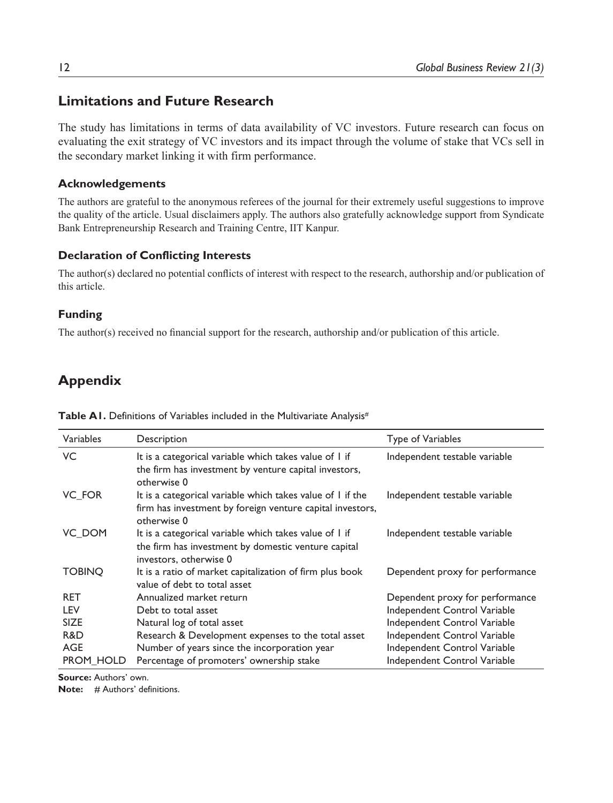## **Limitations and Future Research**

The study has limitations in terms of data availability of VC investors. Future research can focus on evaluating the exit strategy of VC investors and its impact through the volume of stake that VCs sell in the secondary market linking it with firm performance.

## **Acknowledgements**

The authors are grateful to the anonymous referees of the journal for their extremely useful suggestions to improve the quality of the article. Usual disclaimers apply. The authors also gratefully acknowledge support from Syndicate Bank Entrepreneurship Research and Training Centre, IIT Kanpur.

#### **Declaration of Conflicting Interests**

The author(s) declared no potential conflicts of interest with respect to the research, authorship and/or publication of this article.

#### **Funding**

The author(s) received no financial support for the research, authorship and/or publication of this article.

## **Appendix**

| Variables     | Description                                                                                                                             | <b>Type of Variables</b>        |
|---------------|-----------------------------------------------------------------------------------------------------------------------------------------|---------------------------------|
| VC.           | It is a categorical variable which takes value of I if<br>the firm has investment by venture capital investors,<br>otherwise 0          | Independent testable variable   |
| <b>VC FOR</b> | It is a categorical variable which takes value of I if the<br>firm has investment by foreign venture capital investors,<br>otherwise 0  | Independent testable variable   |
| VC DOM        | It is a categorical variable which takes value of I if<br>the firm has investment by domestic venture capital<br>investors, otherwise 0 | Independent testable variable   |
| <b>TOBINO</b> | It is a ratio of market capitalization of firm plus book<br>value of debt to total asset.                                               | Dependent proxy for performance |
| <b>RET</b>    | Annualized market return                                                                                                                | Dependent proxy for performance |
| LFV           | Debt to total asset.                                                                                                                    | Independent Control Variable    |
| <b>SIZE</b>   | Natural log of total asset                                                                                                              | Independent Control Variable    |
| R&D           | Research & Development expenses to the total asset                                                                                      | Independent Control Variable    |
| AGE           | Number of years since the incorporation year                                                                                            | Independent Control Variable    |
| PROM HOLD     | Percentage of promoters' ownership stake                                                                                                | Independent Control Variable    |

Table A1. Definitions of Variables included in the Multivariate Analysis<sup>#</sup>

**Source:** Authors' own.

**Note:** # Authors' definitions.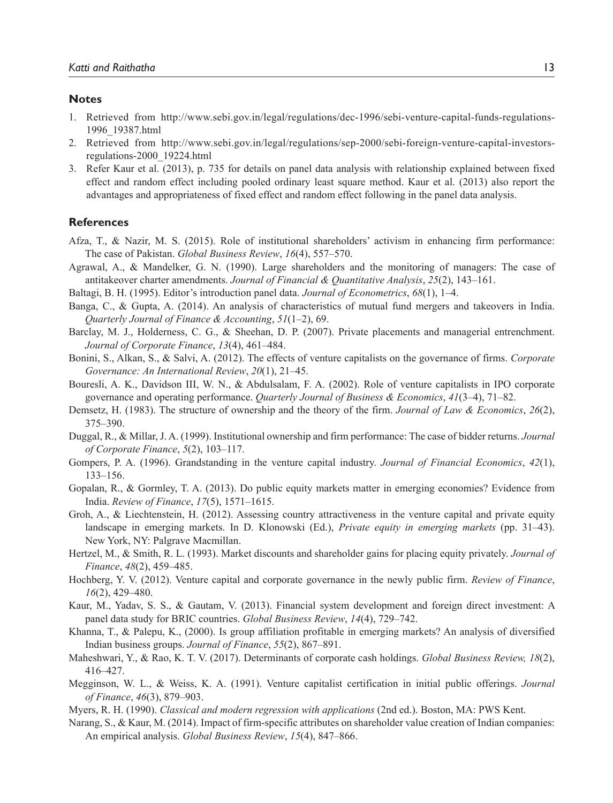#### **Notes**

- 1. Retrieved from http://www.sebi.gov.in/legal/regulations/dec-1996/sebi-venture-capital-funds-regulations-1996\_19387.html
- 2. Retrieved from http://www.sebi.gov.in/legal/regulations/sep-2000/sebi-foreign-venture-capital-investorsregulations-2000\_19224.html
- 3. Refer Kaur et al. (2013), p. 735 for details on panel data analysis with relationship explained between fixed effect and random effect including pooled ordinary least square method. Kaur et al. (2013) also report the advantages and appropriateness of fixed effect and random effect following in the panel data analysis.

#### **References**

- Afza, T., & Nazir, M. S. (2015). Role of institutional shareholders' activism in enhancing firm performance: The case of Pakistan. *Global Business Review*, *16*(4), 557–570.
- Agrawal, A., & Mandelker, G. N. (1990). Large shareholders and the monitoring of managers: The case of antitakeover charter amendments. *Journal of Financial & Quantitative Analysis*, *25*(2), 143–161.
- Baltagi, B. H. (1995). Editor's introduction panel data. *Journal of Econometrics*, *68*(1), 1–4.
- Banga, C., & Gupta, A. (2014). An analysis of characteristics of mutual fund mergers and takeovers in India. *Quarterly Journal of Finance & Accounting*, *51*(1–2), 69.
- Barclay, M. J., Holderness, C. G., & Sheehan, D. P. (2007). Private placements and managerial entrenchment. *Journal of Corporate Finance*, *13*(4), 461–484.
- Bonini, S., Alkan, S., & Salvi, A. (2012). The effects of venture capitalists on the governance of firms. *Corporate Governance: An International Review*, *20*(1), 21–45.
- Bouresli, A. K., Davidson III, W. N., & Abdulsalam, F. A. (2002). Role of venture capitalists in IPO corporate governance and operating performance. *Quarterly Journal of Business & Economics*, *41*(3–4), 71–82.
- Demsetz, H. (1983). The structure of ownership and the theory of the firm. *Journal of Law & Economics*, *26*(2), 375–390.
- Duggal, R., & Millar, J. A. (1999). Institutional ownership and firm performance: The case of bidder returns. *Journal of Corporate Finance*, *5*(2), 103–117.
- Gompers, P. A. (1996). Grandstanding in the venture capital industry. *Journal of Financial Economics*, *42*(1), 133–156.
- Gopalan, R., & Gormley, T. A. (2013). Do public equity markets matter in emerging economies? Evidence from India. *Review of Finance*, *17*(5), 1571–1615.
- Groh, A., & Liechtenstein, H. (2012). Assessing country attractiveness in the venture capital and private equity landscape in emerging markets. In D. Klonowski (Ed.), *Private equity in emerging markets* (pp. 31–43). New York, NY: Palgrave Macmillan.
- Hertzel, M., & Smith, R. L. (1993). Market discounts and shareholder gains for placing equity privately. *Journal of Finance*, *48*(2), 459–485.
- Hochberg, Y. V. (2012). Venture capital and corporate governance in the newly public firm. *Review of Finance*, *16*(2), 429–480.
- Kaur, M., Yadav, S. S., & Gautam, V. (2013). Financial system development and foreign direct investment: A panel data study for BRIC countries. *Global Business Review*, *14*(4), 729–742.
- Khanna, T., & Palepu, K., (2000). Is group affiliation profitable in emerging markets? An analysis of diversified Indian business groups. *Journal of Finance*, *55*(2), 867–891.
- Maheshwari, Y., & Rao, K. T. V. (2017). Determinants of corporate cash holdings. *Global Business Review, 18*(2), 416–427.
- Megginson, W. L., & Weiss, K. A. (1991). Venture capitalist certification in initial public offerings. *Journal of Finance*, *46*(3), 879–903.
- Myers, R. H. (1990). *Classical and modern regression with applications* (2nd ed.). Boston, MA: PWS Kent.
- Narang, S., & Kaur, M. (2014). Impact of firm-specific attributes on shareholder value creation of Indian companies: An empirical analysis. *Global Business Review*, *15*(4), 847–866.